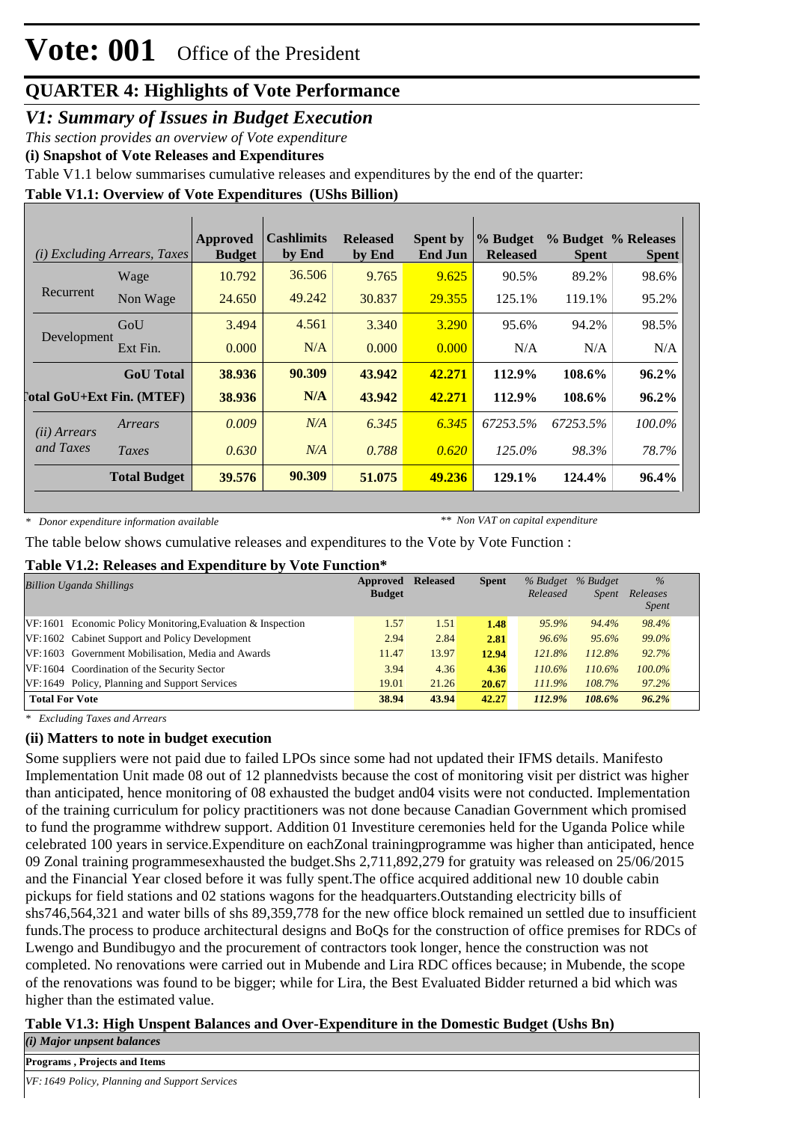### *V1: Summary of Issues in Budget Execution*

*This section provides an overview of Vote expenditure*

**(i) Snapshot of Vote Releases and Expenditures**

Table V1.1 below summarises cumulative releases and expenditures by the end of the quarter:

### **Table V1.1: Overview of Vote Expenditures (UShs Billion)**

| (i)                   | <b>Excluding Arrears, Taxes</b>  | Approved<br><b>Budget</b> | <b>Cashlimits</b><br>by End | <b>Released</b><br>by End | <b>Spent by</b><br><b>End Jun</b> | % Budget<br><b>Released</b> | <b>Spent</b> | % Budget % Releases<br><b>Spent</b> |
|-----------------------|----------------------------------|---------------------------|-----------------------------|---------------------------|-----------------------------------|-----------------------------|--------------|-------------------------------------|
|                       | Wage                             | 10.792                    | 36.506                      | 9.765                     | 9.625                             | 90.5%                       | 89.2%        | 98.6%                               |
| Recurrent             | Non Wage                         | 24.650                    | 49.242                      | 30.837                    | 29.355                            | 125.1%                      | 119.1%       | 95.2%                               |
|                       | GoU                              | 3.494                     | 4.561                       | 3.340                     | 3.290                             | 95.6%                       | 94.2%        | 98.5%                               |
| Development           | Ext Fin.                         | 0.000                     | N/A                         | 0.000                     | 0.000                             | N/A                         | N/A          | N/A                                 |
|                       | <b>GoU</b> Total                 | 38.936                    | 90.309                      | 43.942                    | 42.271                            | 112.9%                      | 108.6%       | $96.2\%$                            |
|                       | <b>Total GoU+Ext Fin. (MTEF)</b> | 38.936                    | N/A                         | 43.942                    | 42.271                            | 112.9%                      | 108.6%       | $96.2\%$                            |
| ( <i>ii</i> ) Arrears | Arrears                          | 0.009                     | N/A                         | 6.345                     | 6.345                             | 67253.5%                    | 67253.5%     | 100.0%                              |
| and Taxes             | Taxes                            | 0.630                     | N/A                         | 0.788                     | 0.620                             | 125.0%                      | 98.3%        | 78.7%                               |
|                       | <b>Total Budget</b>              | 39.576                    | 90.309                      | 51.075                    | 49.236                            | 129.1%                      | 124.4%       | 96.4%                               |

*\* Donor expenditure information available*

*\*\* Non VAT on capital expenditure*

The table below shows cumulative releases and expenditures to the Vote by Vote Function :

#### **Table V1.2: Releases and Expenditure by Vote Function\***

| <b>Billion Uganda Shillings</b>                               | Approved<br><b>Budget</b> | <b>Released</b> | <b>Spent</b> | % Budget<br>Released | % Budget<br><i>Spent</i> | $\%$<br>Releases |
|---------------------------------------------------------------|---------------------------|-----------------|--------------|----------------------|--------------------------|------------------|
|                                                               |                           |                 |              |                      |                          | <i>Spent</i>     |
| $VF:1601$ Economic Policy Monitoring, Evaluation & Inspection | 1.57                      | 1.51            | 1.48         | 95.9%                | 94.4%                    | 98.4%            |
| VF:1602 Cabinet Support and Policy Development                | 2.94                      | 2.84            | 2.81         | 96.6%                | 95.6%                    | 99.0%            |
| VF:1603 Government Mobilisation, Media and Awards             | 11.47                     | 13.97           | 12.94        | 121.8%               | 112.8%                   | 92.7%            |
| VF:1604 Coordination of the Security Sector                   | 3.94                      | 4.36            | 4.36         | $110.6\%$            | $110.6\%$                | $100.0\%$        |
| VF:1649 Policy, Planning and Support Services                 | 19.01                     | 21.26           | 20.67        | 111.9%               | 108.7%                   | 97.2%            |
| <b>Total For Vote</b>                                         | 38.94                     | 43.94           | 42.27        | 112.9%               | 108.6%                   | 96.2%            |

*\* Excluding Taxes and Arrears*

#### **(ii) Matters to note in budget execution**

Some suppliers were not paid due to failed LPOs since some had not updated their IFMS details. Manifesto Implementation Unit made 08 out of 12 plannedvists because the cost of monitoring visit per district was higher than anticipated, hence monitoring of 08 exhausted the budget and04 visits were not conducted. Implementation of the training curriculum for policy practitioners was not done because Canadian Government which promised to fund the programme withdrew support. Addition 01 Investiture ceremonies held for the Uganda Police while celebrated 100 years in service.Expenditure on eachZonal trainingprogramme was higher than anticipated, hence 09 Zonal training programmesexhausted the budget.Shs 2,711,892,279 for gratuity was released on 25/06/2015 and the Financial Year closed before it was fully spent.The office acquired additional new 10 double cabin pickups for field stations and 02 stations wagons for the headquarters.Outstanding electricity bills of shs746,564,321 and water bills of shs 89,359,778 for the new office block remained un settled due to insufficient funds.The process to produce architectural designs and BoQs for the construction of office premises for RDCs of Lwengo and Bundibugyo and the procurement of contractors took longer, hence the construction was not completed. No renovations were carried out in Mubende and Lira RDC offices because; in Mubende, the scope of the renovations was found to be bigger; while for Lira, the Best Evaluated Bidder returned a bid which was higher than the estimated value.

### **Table V1.3: High Unspent Balances and Over-Expenditure in the Domestic Budget (Ushs Bn)**

*(i) Major unpsent balances*

**Programs , Projects and Items**

*VF:1649 Policy, Planning and Support Services*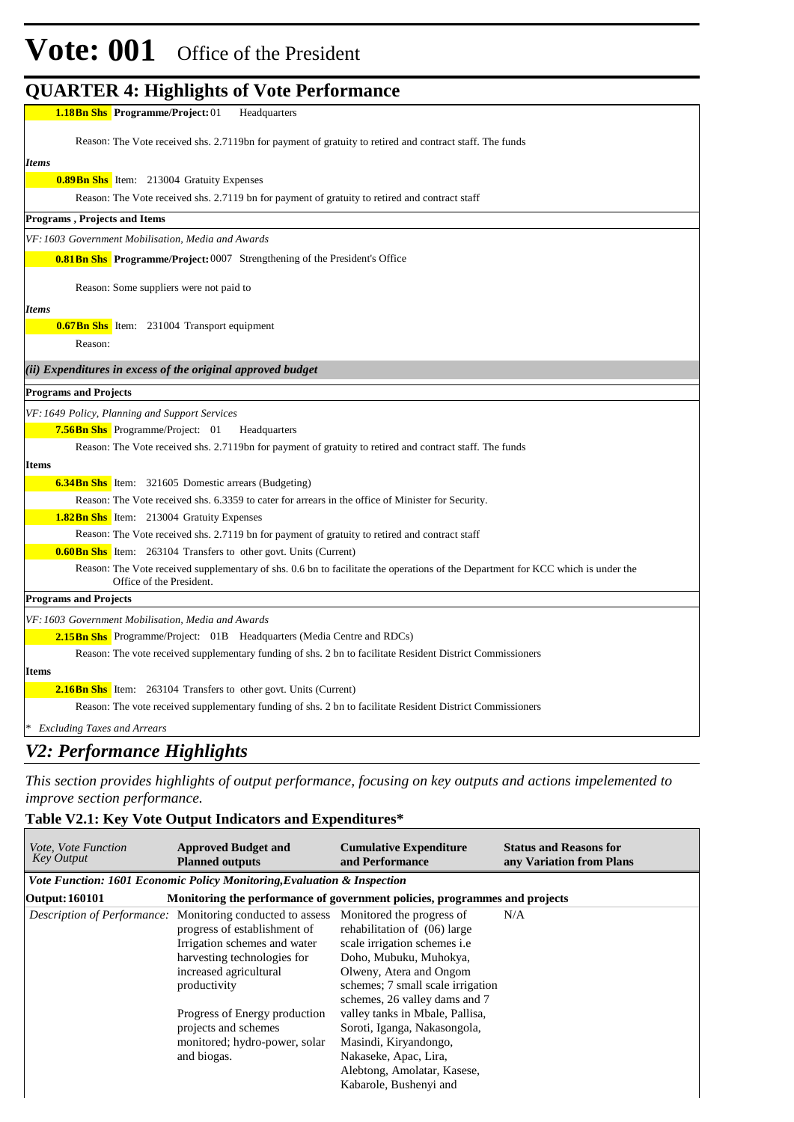## **Vote: 001** Office of the President

### **QUARTER 4: Highlights of Vote Performance**

| <b>1.18Bn Shs</b> Programme/Project: 01<br>Headquarters                                                                                                      |
|--------------------------------------------------------------------------------------------------------------------------------------------------------------|
| Reason: The Vote received shs. 2.7119bn for payment of gratuity to retired and contract staff. The funds                                                     |
| <b>Items</b>                                                                                                                                                 |
| <b>0.89 Bn Shs</b> Item: 213004 Gratuity Expenses                                                                                                            |
| Reason: The Vote received shs. 2.7119 bn for payment of gratuity to retired and contract staff                                                               |
| <b>Programs, Projects and Items</b>                                                                                                                          |
| VF: 1603 Government Mobilisation, Media and Awards                                                                                                           |
| <b>0.81 Bn Shs</b> Programme/Project: 0007 Strengthening of the President's Office                                                                           |
| Reason: Some suppliers were not paid to                                                                                                                      |
| <b>Items</b>                                                                                                                                                 |
| <b>0.67 Bn Shs</b> Item: 231004 Transport equipment                                                                                                          |
| Reason:                                                                                                                                                      |
| $(ii)$ Expenditures in excess of the original approved budget                                                                                                |
| <b>Programs and Projects</b>                                                                                                                                 |
| VF: 1649 Policy, Planning and Support Services                                                                                                               |
| <b>7.56Bn Shs</b> Programme/Project: 01<br>Headquarters                                                                                                      |
| Reason: The Vote received shs. 2.7119bn for payment of gratuity to retired and contract staff. The funds                                                     |
| <b>Items</b>                                                                                                                                                 |
| <b>6.34Bn Shs</b> Item: 321605 Domestic arrears (Budgeting)                                                                                                  |
| Reason: The Vote received shs. 6.3359 to cater for arrears in the office of Minister for Security.                                                           |
| <b>1.82Bn Shs</b> Item: 213004 Gratuity Expenses                                                                                                             |
| Reason: The Vote received shs. 2.7119 bn for payment of gratuity to retired and contract staff                                                               |
| <b>0.60 Bn Shs</b> Item: 263104 Transfers to other govt. Units (Current)                                                                                     |
| Reason: The Vote received supplementary of shs. 0.6 bn to facilitate the operations of the Department for KCC which is under the<br>Office of the President. |
| <b>Programs and Projects</b>                                                                                                                                 |
| VF: 1603 Government Mobilisation, Media and Awards                                                                                                           |
| <b>2.15Bn Shs</b> Programme/Project: 01B Headquarters (Media Centre and RDCs)                                                                                |
| Reason: The vote received supplementary funding of shs. 2 bn to facilitate Resident District Commissioners                                                   |
| <b>Items</b>                                                                                                                                                 |
| <b>2.16Bn Shs</b> Item: 263104 Transfers to other govt. Units (Current)                                                                                      |
| Reason: The vote received supplementary funding of shs. 2 bn to facilitate Resident District Commissioners                                                   |
| <b>Excluding Taxes and Arrears</b>                                                                                                                           |
|                                                                                                                                                              |

### *V2: Performance Highlights*

*This section provides highlights of output performance, focusing on key outputs and actions impelemented to improve section performance.*

### **Table V2.1: Key Vote Output Indicators and Expenditures\***

| <i>Vote, Vote Function</i><br><b>Key Output</b> | <b>Approved Budget and</b><br><b>Planned outputs</b>                                                                                                                                                                                 | <b>Cumulative Expenditure</b><br>and Performance                                                                                                                                        | <b>Status and Reasons for</b><br>any Variation from Plans |  |  |  |
|-------------------------------------------------|--------------------------------------------------------------------------------------------------------------------------------------------------------------------------------------------------------------------------------------|-----------------------------------------------------------------------------------------------------------------------------------------------------------------------------------------|-----------------------------------------------------------|--|--|--|
|                                                 | Vote Function: 1601 Economic Policy Monitoring, Evaluation & Inspection                                                                                                                                                              |                                                                                                                                                                                         |                                                           |  |  |  |
| Output: 160101                                  | Monitoring the performance of government policies, programmes and projects                                                                                                                                                           |                                                                                                                                                                                         |                                                           |  |  |  |
|                                                 | <i>Description of Performance:</i> Monitoring conducted to assess Monitored the progress of<br>progress of establishment of<br>Irrigation schemes and water<br>harvesting technologies for<br>increased agricultural<br>productivity | rehabilitation of (06) large<br>scale irrigation schemes i.e<br>Doho, Mubuku, Muhokya,<br>Olweny, Atera and Ongom<br>schemes; 7 small scale irrigation<br>schemes, 26 valley dams and 7 | N/A                                                       |  |  |  |
|                                                 | Progress of Energy production<br>projects and schemes<br>monitored; hydro-power, solar<br>and biogas.                                                                                                                                | valley tanks in Mbale, Pallisa,<br>Soroti, Iganga, Nakasongola,<br>Masindi, Kiryandongo,<br>Nakaseke, Apac, Lira,<br>Alebtong, Amolatar, Kasese,<br>Kabarole, Bushenyi and              |                                                           |  |  |  |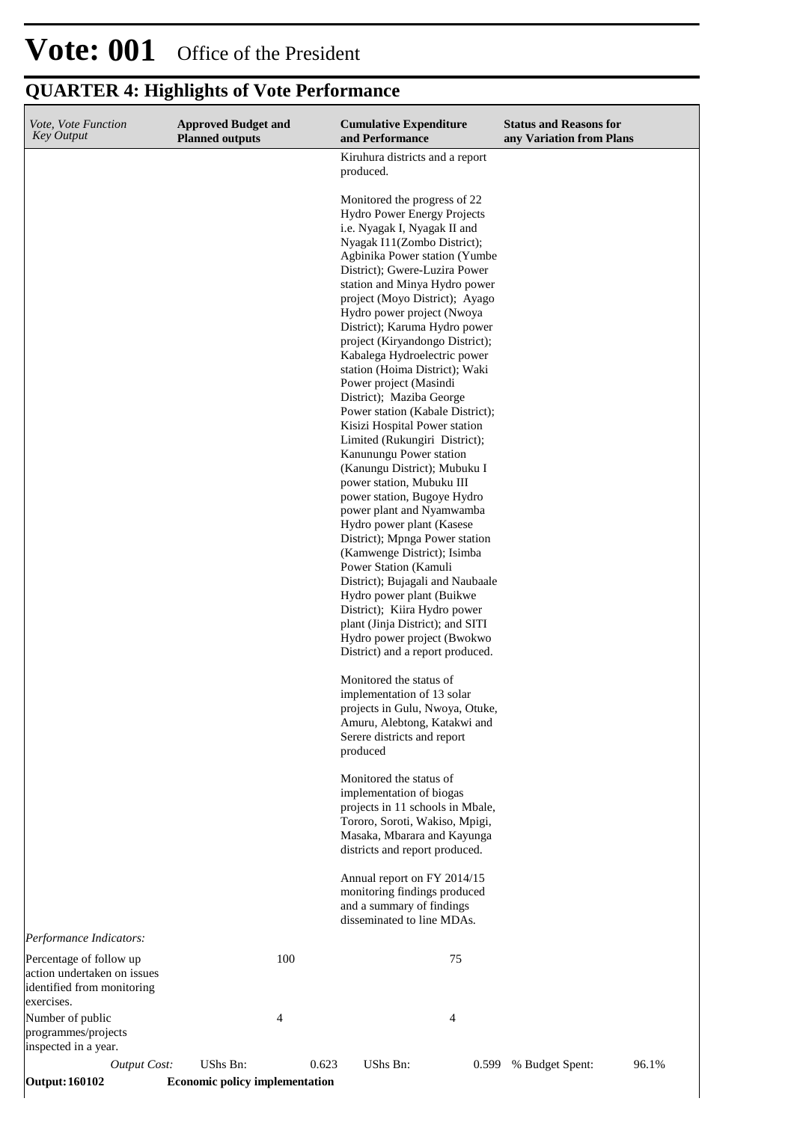## **Vote: 001** Office of the President

### **QUARTER 4: Highlights of Vote Performance**

| Vote, Vote Function<br><b>Key Output</b>                                                           | <b>Approved Budget and</b> |                |       | <b>Cumulative Expenditure</b>                                                                                                                                                                                                                                                                                                                                                                                                                                                                                                                                                                                                                                                                                                                                                                                                                                                                                                                                                                                                                                                                                                                                                                                                                                                                                                                                                                                                                         |       | <b>Status and Reasons for</b> |       |
|----------------------------------------------------------------------------------------------------|----------------------------|----------------|-------|-------------------------------------------------------------------------------------------------------------------------------------------------------------------------------------------------------------------------------------------------------------------------------------------------------------------------------------------------------------------------------------------------------------------------------------------------------------------------------------------------------------------------------------------------------------------------------------------------------------------------------------------------------------------------------------------------------------------------------------------------------------------------------------------------------------------------------------------------------------------------------------------------------------------------------------------------------------------------------------------------------------------------------------------------------------------------------------------------------------------------------------------------------------------------------------------------------------------------------------------------------------------------------------------------------------------------------------------------------------------------------------------------------------------------------------------------------|-------|-------------------------------|-------|
|                                                                                                    |                            |                |       | Kiruhura districts and a report                                                                                                                                                                                                                                                                                                                                                                                                                                                                                                                                                                                                                                                                                                                                                                                                                                                                                                                                                                                                                                                                                                                                                                                                                                                                                                                                                                                                                       |       |                               |       |
|                                                                                                    | <b>Planned outputs</b>     |                |       | and Performance<br>produced.<br>Monitored the progress of 22<br>Hydro Power Energy Projects<br>i.e. Nyagak I, Nyagak II and<br>Nyagak I11(Zombo District);<br>Agbinika Power station (Yumbe<br>District); Gwere-Luzira Power<br>station and Minya Hydro power<br>project (Moyo District); Ayago<br>Hydro power project (Nwoya<br>District); Karuma Hydro power<br>project (Kiryandongo District);<br>Kabalega Hydroelectric power<br>station (Hoima District); Waki<br>Power project (Masindi<br>District); Maziba George<br>Power station (Kabale District);<br>Kisizi Hospital Power station<br>Limited (Rukungiri District);<br>Kanunungu Power station<br>(Kanungu District); Mubuku I<br>power station, Mubuku III<br>power station, Bugoye Hydro<br>power plant and Nyamwamba<br>Hydro power plant (Kasese<br>District); Mpnga Power station<br>(Kamwenge District); Isimba<br>Power Station (Kamuli<br>District); Bujagali and Naubaale<br>Hydro power plant (Buikwe<br>District); Kiira Hydro power<br>plant (Jinja District); and SITI<br>Hydro power project (Bwokwo<br>District) and a report produced.<br>Monitored the status of<br>implementation of 13 solar<br>projects in Gulu, Nwoya, Otuke,<br>Amuru, Alebtong, Katakwi and<br>Serere districts and report<br>produced<br>Monitored the status of<br>implementation of biogas<br>projects in 11 schools in Mbale,<br>Tororo, Soroti, Wakiso, Mpigi,<br>Masaka, Mbarara and Kayunga |       | any Variation from Plans      |       |
|                                                                                                    |                            |                |       | districts and report produced.<br>Annual report on FY 2014/15<br>monitoring findings produced<br>and a summary of findings                                                                                                                                                                                                                                                                                                                                                                                                                                                                                                                                                                                                                                                                                                                                                                                                                                                                                                                                                                                                                                                                                                                                                                                                                                                                                                                            |       |                               |       |
|                                                                                                    |                            |                |       | disseminated to line MDAs.                                                                                                                                                                                                                                                                                                                                                                                                                                                                                                                                                                                                                                                                                                                                                                                                                                                                                                                                                                                                                                                                                                                                                                                                                                                                                                                                                                                                                            |       |                               |       |
| Performance Indicators:                                                                            |                            |                |       |                                                                                                                                                                                                                                                                                                                                                                                                                                                                                                                                                                                                                                                                                                                                                                                                                                                                                                                                                                                                                                                                                                                                                                                                                                                                                                                                                                                                                                                       |       |                               |       |
| Percentage of follow up<br>action undertaken on issues<br>identified from monitoring<br>exercises. |                            | 100            |       |                                                                                                                                                                                                                                                                                                                                                                                                                                                                                                                                                                                                                                                                                                                                                                                                                                                                                                                                                                                                                                                                                                                                                                                                                                                                                                                                                                                                                                                       | 75    |                               |       |
| Number of public<br>programmes/projects<br>inspected in a year.                                    |                            | $\overline{4}$ |       |                                                                                                                                                                                                                                                                                                                                                                                                                                                                                                                                                                                                                                                                                                                                                                                                                                                                                                                                                                                                                                                                                                                                                                                                                                                                                                                                                                                                                                                       | 4     |                               |       |
| <b>Output Cost:</b>                                                                                | UShs Bn:                   |                | 0.623 | UShs Bn:                                                                                                                                                                                                                                                                                                                                                                                                                                                                                                                                                                                                                                                                                                                                                                                                                                                                                                                                                                                                                                                                                                                                                                                                                                                                                                                                                                                                                                              | 0.599 | % Budget Spent:               | 96.1% |

**Output: 160102 Economic policy implementation**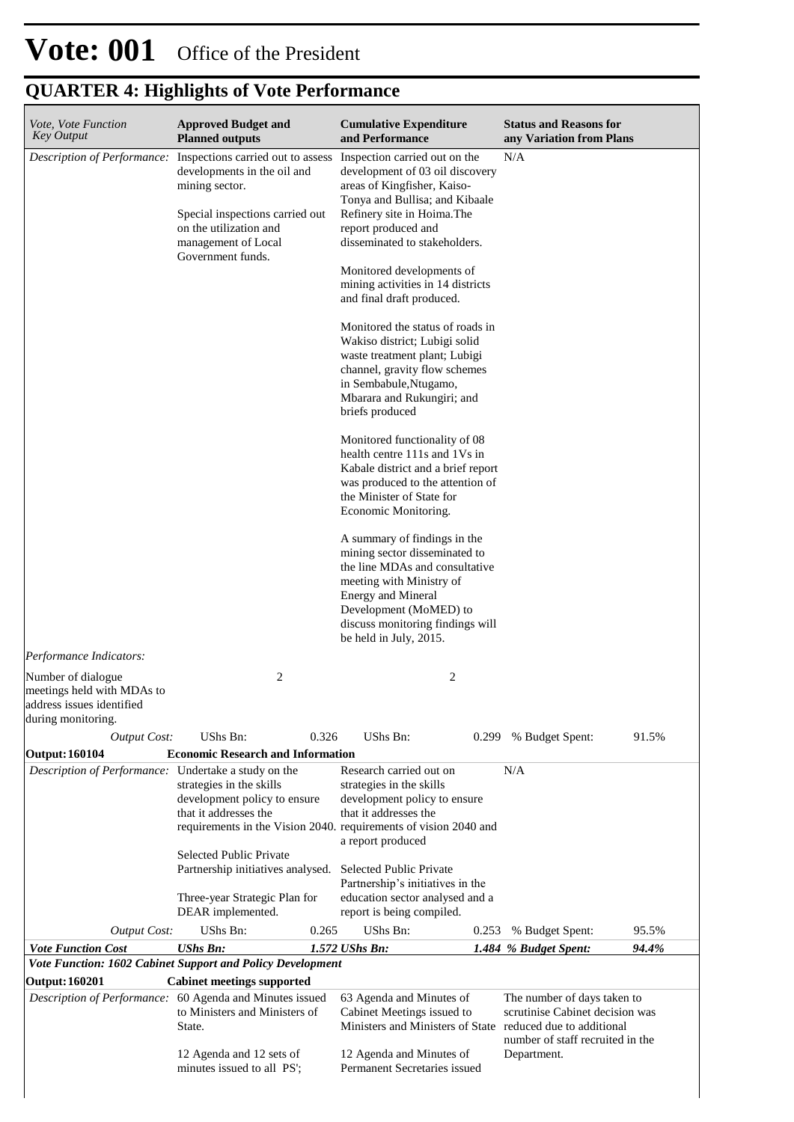| Vote, Vote Function<br><b>Key Output</b>                                                            | <b>Approved Budget and</b><br><b>Planned outputs</b>                                                                                                                                        | <b>Cumulative Expenditure</b><br>and Performance                                                                                                                                                                                                                                                                                                                                                                                                                                                                                                                                                                                                                                                                                                                                                                                                                                                                                                                                               | <b>Status and Reasons for</b><br>any Variation from Plans                                                         |
|-----------------------------------------------------------------------------------------------------|---------------------------------------------------------------------------------------------------------------------------------------------------------------------------------------------|------------------------------------------------------------------------------------------------------------------------------------------------------------------------------------------------------------------------------------------------------------------------------------------------------------------------------------------------------------------------------------------------------------------------------------------------------------------------------------------------------------------------------------------------------------------------------------------------------------------------------------------------------------------------------------------------------------------------------------------------------------------------------------------------------------------------------------------------------------------------------------------------------------------------------------------------------------------------------------------------|-------------------------------------------------------------------------------------------------------------------|
| Description of Performance:<br>Performance Indicators:                                              | Inspections carried out to assess<br>developments in the oil and<br>mining sector.<br>Special inspections carried out<br>on the utilization and<br>management of Local<br>Government funds. | Inspection carried out on the<br>development of 03 oil discovery<br>areas of Kingfisher, Kaiso-<br>Tonya and Bullisa; and Kibaale<br>Refinery site in Hoima. The<br>report produced and<br>disseminated to stakeholders.<br>Monitored developments of<br>mining activities in 14 districts<br>and final draft produced.<br>Monitored the status of roads in<br>Wakiso district; Lubigi solid<br>waste treatment plant; Lubigi<br>channel, gravity flow schemes<br>in Sembabule, Ntugamo,<br>Mbarara and Rukungiri; and<br>briefs produced<br>Monitored functionality of 08<br>health centre 111s and 1Vs in<br>Kabale district and a brief report<br>was produced to the attention of<br>the Minister of State for<br>Economic Monitoring.<br>A summary of findings in the<br>mining sector disseminated to<br>the line MDAs and consultative<br>meeting with Ministry of<br><b>Energy and Mineral</b><br>Development (MoMED) to<br>discuss monitoring findings will<br>be held in July, 2015. | N/A                                                                                                               |
| Number of dialogue<br>meetings held with MDAs to<br>address issues identified<br>during monitoring. | 2                                                                                                                                                                                           | 2                                                                                                                                                                                                                                                                                                                                                                                                                                                                                                                                                                                                                                                                                                                                                                                                                                                                                                                                                                                              |                                                                                                                   |
| <b>Output Cost:</b>                                                                                 | UShs Bn:<br>0.326                                                                                                                                                                           | UShs Bn:<br>0.299                                                                                                                                                                                                                                                                                                                                                                                                                                                                                                                                                                                                                                                                                                                                                                                                                                                                                                                                                                              | 91.5%<br>% Budget Spent:                                                                                          |
| <b>Output: 160104</b>                                                                               | <b>Economic Research and Information</b>                                                                                                                                                    |                                                                                                                                                                                                                                                                                                                                                                                                                                                                                                                                                                                                                                                                                                                                                                                                                                                                                                                                                                                                |                                                                                                                   |
| Description of Performance: Undertake a study on the                                                | strategies in the skills<br>development policy to ensure<br>that it addresses the<br><b>Selected Public Private</b><br>Partnership initiatives analysed.                                    | Research carried out on<br>strategies in the skills<br>development policy to ensure<br>that it addresses the<br>requirements in the Vision 2040. requirements of vision 2040 and<br>a report produced<br>Selected Public Private<br>Partnership's initiatives in the                                                                                                                                                                                                                                                                                                                                                                                                                                                                                                                                                                                                                                                                                                                           | N/A                                                                                                               |
|                                                                                                     | Three-year Strategic Plan for<br>DEAR implemented.                                                                                                                                          | education sector analysed and a<br>report is being compiled.                                                                                                                                                                                                                                                                                                                                                                                                                                                                                                                                                                                                                                                                                                                                                                                                                                                                                                                                   |                                                                                                                   |
| <b>Output Cost:</b>                                                                                 | UShs Bn:<br>0.265                                                                                                                                                                           | UShs Bn:<br>0.253                                                                                                                                                                                                                                                                                                                                                                                                                                                                                                                                                                                                                                                                                                                                                                                                                                                                                                                                                                              | 95.5%<br>% Budget Spent:                                                                                          |
| <b>Vote Function Cost</b>                                                                           | <b>UShs Bn:</b>                                                                                                                                                                             | 1.572 UShs Bn:                                                                                                                                                                                                                                                                                                                                                                                                                                                                                                                                                                                                                                                                                                                                                                                                                                                                                                                                                                                 | 1.484 % Budget Spent:<br>94.4%                                                                                    |
|                                                                                                     | Vote Function: 1602 Cabinet Support and Policy Development                                                                                                                                  |                                                                                                                                                                                                                                                                                                                                                                                                                                                                                                                                                                                                                                                                                                                                                                                                                                                                                                                                                                                                |                                                                                                                   |
| <b>Output: 160201</b>                                                                               | <b>Cabinet meetings supported</b>                                                                                                                                                           |                                                                                                                                                                                                                                                                                                                                                                                                                                                                                                                                                                                                                                                                                                                                                                                                                                                                                                                                                                                                |                                                                                                                   |
|                                                                                                     | Description of Performance: 60 Agenda and Minutes issued<br>to Ministers and Ministers of<br>State.<br>12 Agenda and 12 sets of                                                             | 63 Agenda and Minutes of<br>Cabinet Meetings issued to<br>Ministers and Ministers of State reduced due to additional<br>12 Agenda and Minutes of                                                                                                                                                                                                                                                                                                                                                                                                                                                                                                                                                                                                                                                                                                                                                                                                                                               | The number of days taken to<br>scrutinise Cabinet decision was<br>number of staff recruited in the<br>Department. |
|                                                                                                     | minutes issued to all PS';                                                                                                                                                                  | Permanent Secretaries issued                                                                                                                                                                                                                                                                                                                                                                                                                                                                                                                                                                                                                                                                                                                                                                                                                                                                                                                                                                   |                                                                                                                   |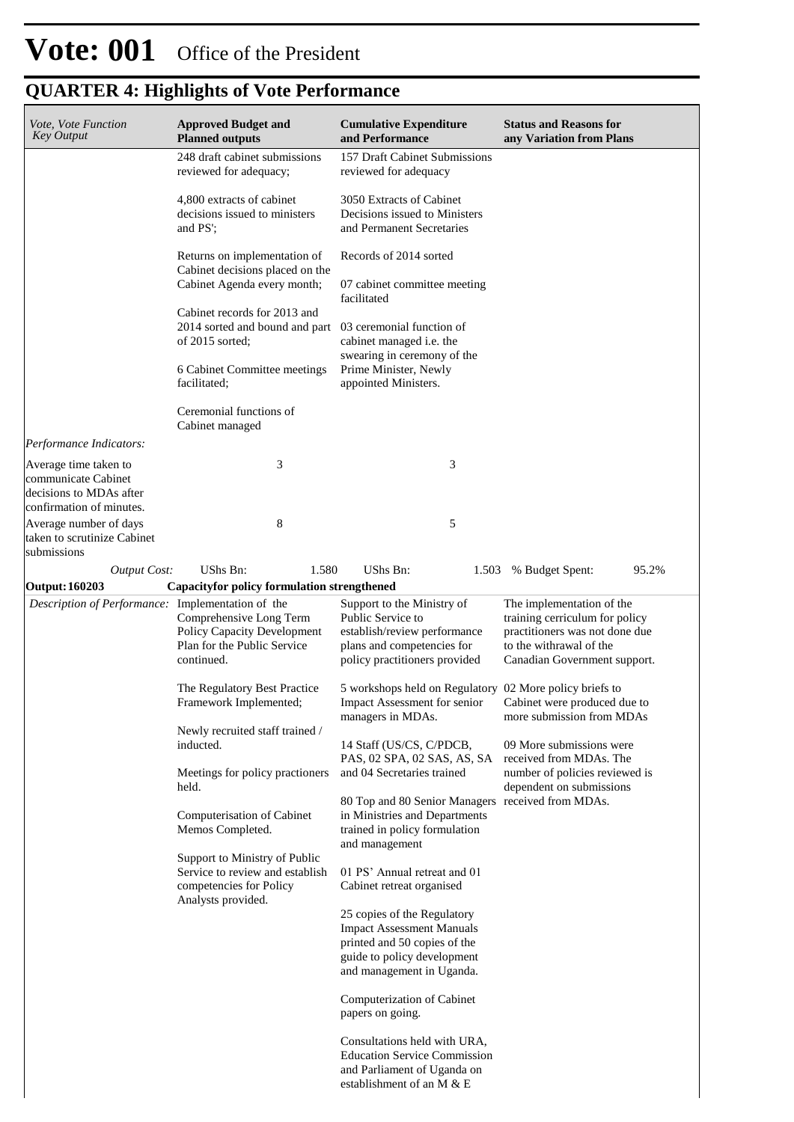| Vote, Vote Function<br><b>Key Output</b>                                                            | <b>Approved Budget and</b><br><b>Planned outputs</b>                                                              | <b>Cumulative Expenditure</b><br>and Performance                                                                                                            | <b>Status and Reasons for</b><br>any Variation from Plans                                                                                                |
|-----------------------------------------------------------------------------------------------------|-------------------------------------------------------------------------------------------------------------------|-------------------------------------------------------------------------------------------------------------------------------------------------------------|----------------------------------------------------------------------------------------------------------------------------------------------------------|
|                                                                                                     | 248 draft cabinet submissions<br>reviewed for adequacy;                                                           | 157 Draft Cabinet Submissions<br>reviewed for adequacy                                                                                                      |                                                                                                                                                          |
|                                                                                                     | 4,800 extracts of cabinet<br>decisions issued to ministers<br>and PS';                                            | 3050 Extracts of Cabinet<br>Decisions issued to Ministers<br>and Permanent Secretaries                                                                      |                                                                                                                                                          |
|                                                                                                     | Returns on implementation of<br>Cabinet decisions placed on the                                                   | Records of 2014 sorted                                                                                                                                      |                                                                                                                                                          |
|                                                                                                     | Cabinet Agenda every month;                                                                                       | 07 cabinet committee meeting<br>facilitated                                                                                                                 |                                                                                                                                                          |
|                                                                                                     | Cabinet records for 2013 and<br>2014 sorted and bound and part 03 ceremonial function of<br>of 2015 sorted;       | cabinet managed i.e. the<br>swearing in ceremony of the                                                                                                     |                                                                                                                                                          |
|                                                                                                     | 6 Cabinet Committee meetings<br>facilitated;                                                                      | Prime Minister, Newly<br>appointed Ministers.                                                                                                               |                                                                                                                                                          |
|                                                                                                     | Ceremonial functions of<br>Cabinet managed                                                                        |                                                                                                                                                             |                                                                                                                                                          |
| Performance Indicators:                                                                             |                                                                                                                   |                                                                                                                                                             |                                                                                                                                                          |
| Average time taken to<br>communicate Cabinet<br>decisions to MDAs after<br>confirmation of minutes. | 3                                                                                                                 | 3                                                                                                                                                           |                                                                                                                                                          |
| Average number of days<br>taken to scrutinize Cabinet<br>submissions                                | 8                                                                                                                 | 5                                                                                                                                                           |                                                                                                                                                          |
| <b>Output Cost:</b>                                                                                 | UShs Bn:<br>1.580                                                                                                 | UShs Bn:                                                                                                                                                    | 95.2%<br>1.503 % Budget Spent:                                                                                                                           |
| <b>Output: 160203</b>                                                                               | <b>Capacityfor policy formulation strengthened</b>                                                                |                                                                                                                                                             |                                                                                                                                                          |
| Description of Performance: Implementation of the                                                   | Comprehensive Long Term<br>Policy Capacity Development<br>Plan for the Public Service<br>continued.               | Support to the Ministry of<br>Public Service to<br>establish/review performance<br>plans and competencies for<br>policy practitioners provided              | The implementation of the<br>training cerriculum for policy<br>practitioners was not done due<br>to the withrawal of the<br>Canadian Government support. |
|                                                                                                     | The Regulatory Best Practice<br>Framework Implemented;                                                            | 5 workshops held on Regulatory 02 More policy briefs to<br>Impact Assessment for senior<br>managers in MDAs.                                                | Cabinet were produced due to<br>more submission from MDAs                                                                                                |
|                                                                                                     | Newly recruited staff trained /<br>inducted.<br>Meetings for policy practioners                                   | 14 Staff (US/CS, C/PDCB,<br>PAS, 02 SPA, 02 SAS, AS, SA<br>and 04 Secretaries trained                                                                       | 09 More submissions were<br>received from MDAs. The<br>number of policies reviewed is                                                                    |
|                                                                                                     | held.                                                                                                             |                                                                                                                                                             | dependent on submissions                                                                                                                                 |
|                                                                                                     | Computerisation of Cabinet<br>Memos Completed.                                                                    | 80 Top and 80 Senior Managers received from MDAs.<br>in Ministries and Departments<br>trained in policy formulation<br>and management                       |                                                                                                                                                          |
|                                                                                                     | Support to Ministry of Public<br>Service to review and establish<br>competencies for Policy<br>Analysts provided. | 01 PS' Annual retreat and 01<br>Cabinet retreat organised                                                                                                   |                                                                                                                                                          |
|                                                                                                     |                                                                                                                   | 25 copies of the Regulatory<br><b>Impact Assessment Manuals</b><br>printed and 50 copies of the<br>guide to policy development<br>and management in Uganda. |                                                                                                                                                          |
|                                                                                                     |                                                                                                                   | Computerization of Cabinet<br>papers on going.                                                                                                              |                                                                                                                                                          |
|                                                                                                     |                                                                                                                   | Consultations held with URA,<br><b>Education Service Commission</b><br>and Parliament of Uganda on<br>establishment of an M & E                             |                                                                                                                                                          |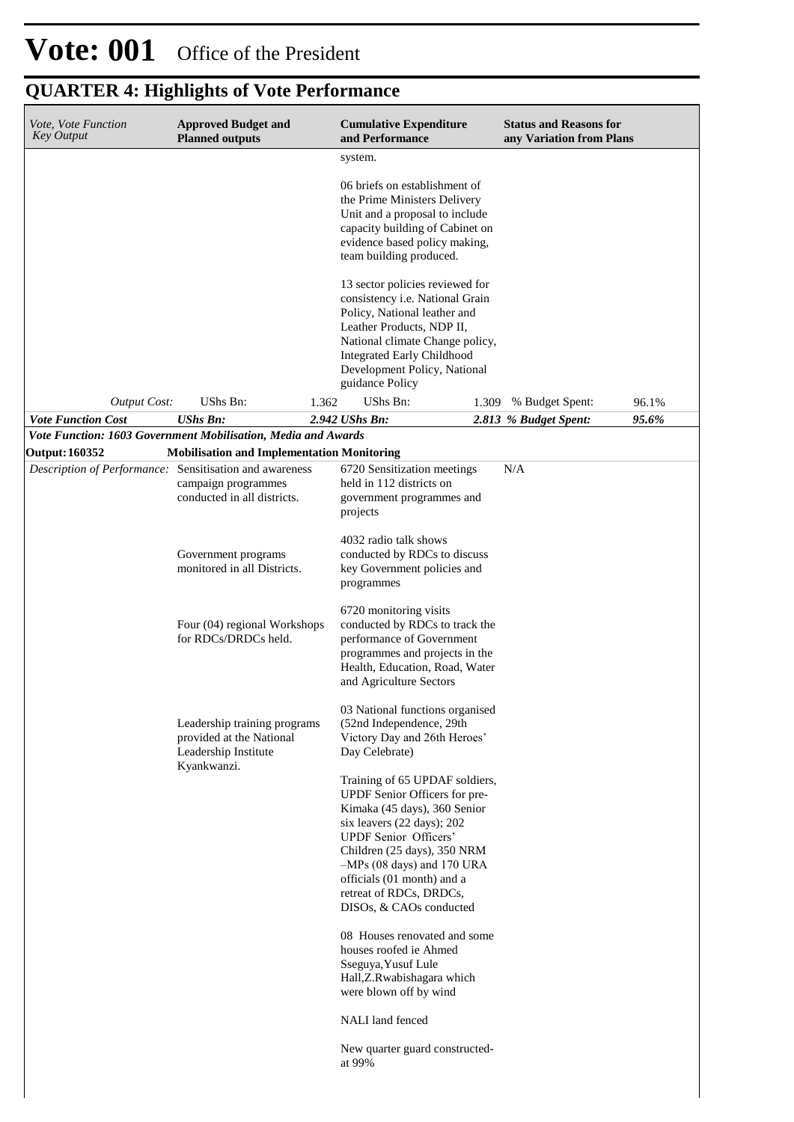| Vote, Vote Function<br><b>Key Output</b>                                         | <b>Approved Budget and</b><br><b>Planned outputs</b>                                                    |       | <b>Cumulative Expenditure</b><br>and Performance                                                                                                                                                                                                                                                                 |       | <b>Status and Reasons for</b><br>any Variation from Plans |       |
|----------------------------------------------------------------------------------|---------------------------------------------------------------------------------------------------------|-------|------------------------------------------------------------------------------------------------------------------------------------------------------------------------------------------------------------------------------------------------------------------------------------------------------------------|-------|-----------------------------------------------------------|-------|
|                                                                                  |                                                                                                         |       | system.                                                                                                                                                                                                                                                                                                          |       |                                                           |       |
|                                                                                  |                                                                                                         |       | 06 briefs on establishment of<br>the Prime Ministers Delivery<br>Unit and a proposal to include<br>capacity building of Cabinet on<br>evidence based policy making,<br>team building produced.                                                                                                                   |       |                                                           |       |
|                                                                                  |                                                                                                         |       | 13 sector policies reviewed for<br>consistency i.e. National Grain<br>Policy, National leather and<br>Leather Products, NDP II,<br>National climate Change policy,<br><b>Integrated Early Childhood</b><br>Development Policy, National<br>guidance Policy                                                       |       |                                                           |       |
| <b>Output Cost:</b>                                                              | UShs Bn:                                                                                                | 1.362 | UShs Bn:                                                                                                                                                                                                                                                                                                         | 1.309 | % Budget Spent:                                           | 96.1% |
| <b>Vote Function Cost</b>                                                        | <b>UShs Bn:</b>                                                                                         |       | 2.942 UShs Bn:                                                                                                                                                                                                                                                                                                   |       | 2.813 % Budget Spent:                                     | 95.6% |
| Vote Function: 1603 Government Mobilisation, Media and Awards                    |                                                                                                         |       |                                                                                                                                                                                                                                                                                                                  |       |                                                           |       |
| <b>Output: 160352</b><br>Description of Performance: Sensitisation and awareness | <b>Mobilisation and Implementation Monitoring</b><br>campaign programmes<br>conducted in all districts. |       | 6720 Sensitization meetings<br>held in 112 districts on<br>government programmes and<br>projects                                                                                                                                                                                                                 |       | N/A                                                       |       |
|                                                                                  | Government programs<br>monitored in all Districts.                                                      |       | 4032 radio talk shows<br>conducted by RDCs to discuss<br>key Government policies and<br>programmes                                                                                                                                                                                                               |       |                                                           |       |
|                                                                                  | Four (04) regional Workshops<br>for RDCs/DRDCs held.                                                    |       | 6720 monitoring visits<br>conducted by RDCs to track the<br>performance of Government<br>programmes and projects in the<br>Health, Education, Road, Water<br>and Agriculture Sectors                                                                                                                             |       |                                                           |       |
|                                                                                  | Leadership training programs<br>provided at the National<br>Leadership Institute<br>Kyankwanzi.         |       | 03 National functions organised<br>(52nd Independence, 29th<br>Victory Day and 26th Heroes'<br>Day Celebrate)                                                                                                                                                                                                    |       |                                                           |       |
|                                                                                  |                                                                                                         |       | Training of 65 UPDAF soldiers,<br>UPDF Senior Officers for pre-<br>Kimaka (45 days), 360 Senior<br>six leavers (22 days); 202<br><b>UPDF</b> Senior Officers'<br>Children (25 days), 350 NRM<br>$-MPs$ (08 days) and 170 URA<br>officials (01 month) and a<br>retreat of RDCs, DRDCs,<br>DISOs, & CAOs conducted |       |                                                           |       |
|                                                                                  |                                                                                                         |       | 08 Houses renovated and some<br>houses roofed ie Ahmed<br>Sseguya, Yusuf Lule<br>Hall, Z. Rwabishagara which<br>were blown off by wind                                                                                                                                                                           |       |                                                           |       |
|                                                                                  |                                                                                                         |       | NALI land fenced                                                                                                                                                                                                                                                                                                 |       |                                                           |       |
|                                                                                  |                                                                                                         |       | New quarter guard constructed-<br>at 99%                                                                                                                                                                                                                                                                         |       |                                                           |       |
|                                                                                  |                                                                                                         |       |                                                                                                                                                                                                                                                                                                                  |       |                                                           |       |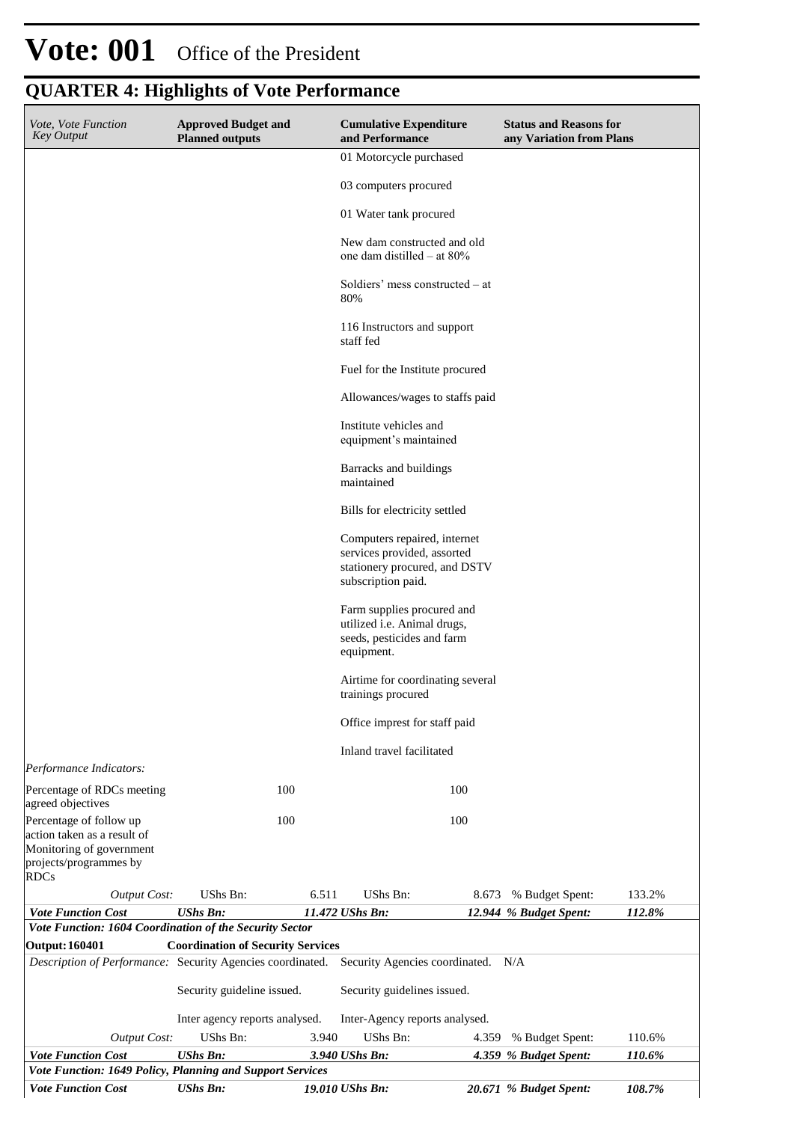## **Vote: 001** Office of the President

| Vote, Vote Function<br><b>Key Output</b>                                            | <b>Approved Budget and</b><br><b>Planned outputs</b> |       | <b>Cumulative Expenditure</b><br>and Performance                                                                   |       | <b>Status and Reasons for</b><br>any Variation from Plans |                  |
|-------------------------------------------------------------------------------------|------------------------------------------------------|-------|--------------------------------------------------------------------------------------------------------------------|-------|-----------------------------------------------------------|------------------|
|                                                                                     |                                                      |       | 01 Motorcycle purchased                                                                                            |       |                                                           |                  |
|                                                                                     |                                                      |       | 03 computers procured                                                                                              |       |                                                           |                  |
|                                                                                     |                                                      |       | 01 Water tank procured                                                                                             |       |                                                           |                  |
|                                                                                     |                                                      |       | New dam constructed and old<br>one dam distilled $-$ at 80%                                                        |       |                                                           |                  |
|                                                                                     |                                                      |       | Soldiers' mess constructed – at<br>80%                                                                             |       |                                                           |                  |
|                                                                                     |                                                      |       | 116 Instructors and support<br>staff fed                                                                           |       |                                                           |                  |
|                                                                                     |                                                      |       | Fuel for the Institute procured                                                                                    |       |                                                           |                  |
|                                                                                     |                                                      |       | Allowances/wages to staffs paid                                                                                    |       |                                                           |                  |
|                                                                                     |                                                      |       | Institute vehicles and<br>equipment's maintained                                                                   |       |                                                           |                  |
|                                                                                     |                                                      |       | Barracks and buildings<br>maintained                                                                               |       |                                                           |                  |
|                                                                                     |                                                      |       | Bills for electricity settled                                                                                      |       |                                                           |                  |
|                                                                                     |                                                      |       | Computers repaired, internet<br>services provided, assorted<br>stationery procured, and DSTV<br>subscription paid. |       |                                                           |                  |
|                                                                                     |                                                      |       | Farm supplies procured and<br>utilized i.e. Animal drugs,<br>seeds, pesticides and farm<br>equipment.              |       |                                                           |                  |
|                                                                                     |                                                      |       | Airtime for coordinating several<br>trainings procured                                                             |       |                                                           |                  |
|                                                                                     |                                                      |       | Office imprest for staff paid                                                                                      |       |                                                           |                  |
|                                                                                     |                                                      |       | Inland travel facilitated                                                                                          |       |                                                           |                  |
| Performance Indicators:<br>Percentage of RDCs meeting                               |                                                      | 100   |                                                                                                                    | 100   |                                                           |                  |
| agreed objectives<br>Percentage of follow up                                        |                                                      | 100   |                                                                                                                    | 100   |                                                           |                  |
| action taken as a result of<br>Monitoring of government<br>projects/programmes by   |                                                      |       |                                                                                                                    |       |                                                           |                  |
| <b>RDCs</b>                                                                         |                                                      |       |                                                                                                                    |       |                                                           |                  |
| <b>Output Cost:</b><br><b>Vote Function Cost</b>                                    | UShs Bn:<br><b>UShs Bn:</b>                          | 6.511 | UShs Bn:<br>11.472 UShs Bn:                                                                                        | 8.673 | % Budget Spent:<br>12.944 % Budget Spent:                 | 133.2%<br>112.8% |
| Vote Function: 1604 Coordination of the Security Sector                             |                                                      |       |                                                                                                                    |       |                                                           |                  |
| <b>Output: 160401</b><br>Description of Performance: Security Agencies coordinated. | <b>Coordination of Security Services</b>             |       | Security Agencies coordinated. N/A                                                                                 |       |                                                           |                  |
|                                                                                     |                                                      |       |                                                                                                                    |       |                                                           |                  |
|                                                                                     | Security guideline issued.                           |       | Security guidelines issued.                                                                                        |       |                                                           |                  |
|                                                                                     | Inter agency reports analysed.                       |       | Inter-Agency reports analysed.                                                                                     |       |                                                           |                  |
| <b>Output Cost:</b><br><b>Vote Function Cost</b>                                    | UShs Bn:<br><b>UShs Bn:</b>                          | 3.940 | UShs Bn:<br>3.940 UShs Bn:                                                                                         | 4.359 | % Budget Spent:<br>4.359 % Budget Spent:                  | 110.6%           |
| Vote Function: 1649 Policy, Planning and Support Services                           |                                                      |       |                                                                                                                    |       |                                                           | 110.6%           |
| <b>Vote Function Cost</b>                                                           | <b>UShs Bn:</b>                                      |       | 19.010 UShs Bn:                                                                                                    |       | 20.671 % Budget Spent:                                    | 108.7%           |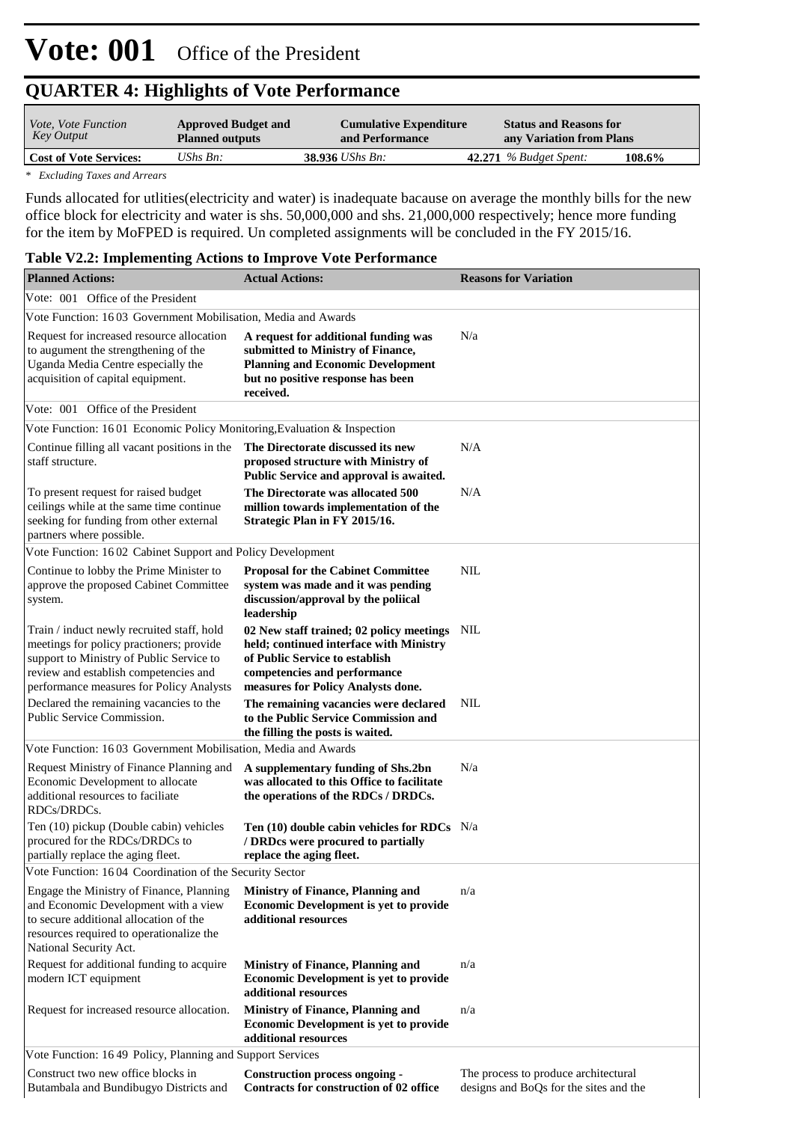| <i>Vote, Vote Function</i><br>Key Output | <b>Approved Budget and</b><br><b>Planned outputs</b> | <b>Cumulative Expenditure</b><br>and Performance | <b>Status and Reasons for</b><br>any Variation from Plans |        |
|------------------------------------------|------------------------------------------------------|--------------------------------------------------|-----------------------------------------------------------|--------|
| <b>Cost of Vote Services:</b>            | UShs $B_n$ :                                         | $38.936$ UShs Bn:                                | $42.271$ % Budget Spent:                                  | 108.6% |
|                                          |                                                      |                                                  |                                                           |        |

*\* Excluding Taxes and Arrears*

Funds allocated for utlities(electricity and water) is inadequate bacause on average the monthly bills for the new office block for electricity and water is shs. 50,000,000 and shs. 21,000,000 respectively; hence more funding for the item by MoFPED is required. Un completed assignments will be concluded in the FY 2015/16.

### **Table V2.2: Implementing Actions to Improve Vote Performance**

| <b>Planned Actions:</b>                                                                                                                                                                                                 | <b>Actual Actions:</b>                                                                                                                                                                          | <b>Reasons for Variation</b>                                                   |
|-------------------------------------------------------------------------------------------------------------------------------------------------------------------------------------------------------------------------|-------------------------------------------------------------------------------------------------------------------------------------------------------------------------------------------------|--------------------------------------------------------------------------------|
| Vote: 001 Office of the President                                                                                                                                                                                       |                                                                                                                                                                                                 |                                                                                |
| Vote Function: 1603 Government Mobilisation, Media and Awards                                                                                                                                                           |                                                                                                                                                                                                 |                                                                                |
| Request for increased resource allocation<br>to augument the strengthening of the<br>Uganda Media Centre especially the<br>acquisition of capital equipment.                                                            | A request for additional funding was<br>submitted to Ministry of Finance,<br><b>Planning and Economic Development</b><br>but no positive response has been<br>received.                         | N/a                                                                            |
| Vote: 001 Office of the President                                                                                                                                                                                       |                                                                                                                                                                                                 |                                                                                |
| Vote Function: 1601 Economic Policy Monitoring, Evaluation & Inspection                                                                                                                                                 |                                                                                                                                                                                                 |                                                                                |
| Continue filling all vacant positions in the<br>staff structure.                                                                                                                                                        | The Directorate discussed its new<br>proposed structure with Ministry of<br>Public Service and approval is awaited.                                                                             | N/A                                                                            |
| To present request for raised budget<br>ceilings while at the same time continue<br>seeking for funding from other external<br>partners where possible.                                                                 | The Directorate was allocated 500<br>million towards implementation of the<br>Strategic Plan in FY 2015/16.                                                                                     | N/A                                                                            |
| Vote Function: 1602 Cabinet Support and Policy Development                                                                                                                                                              |                                                                                                                                                                                                 |                                                                                |
| Continue to lobby the Prime Minister to<br>approve the proposed Cabinet Committee<br>system.                                                                                                                            | <b>Proposal for the Cabinet Committee</b><br>system was made and it was pending<br>discussion/approval by the poliical<br>leadership                                                            | <b>NIL</b>                                                                     |
| Train / induct newly recruited staff, hold<br>meetings for policy practioners; provide<br>support to Ministry of Public Service to<br>review and establish competencies and<br>performance measures for Policy Analysts | 02 New staff trained; 02 policy meetings NIL<br>held; continued interface with Ministry<br>of Public Service to establish<br>competencies and performance<br>measures for Policy Analysts done. |                                                                                |
| Declared the remaining vacancies to the<br>Public Service Commission.                                                                                                                                                   | The remaining vacancies were declared<br>to the Public Service Commission and<br>the filling the posts is waited.                                                                               | NIL                                                                            |
| Vote Function: 1603 Government Mobilisation, Media and Awards                                                                                                                                                           |                                                                                                                                                                                                 |                                                                                |
| Request Ministry of Finance Planning and<br>Economic Development to allocate<br>additional resources to faciliate<br>RDCs/DRDCs.                                                                                        | A supplementary funding of Shs.2bn<br>was allocated to this Office to facilitate<br>the operations of the RDCs / DRDCs.                                                                         | N/a                                                                            |
| Ten (10) pickup (Double cabin) vehicles<br>procured for the RDCs/DRDCs to<br>partially replace the aging fleet.                                                                                                         | Ten $(10)$ double cabin vehicles for RDCs N/a<br>/ DRDcs were procured to partially<br>replace the aging fleet.                                                                                 |                                                                                |
| Vote Function: 1604 Coordination of the Security Sector                                                                                                                                                                 |                                                                                                                                                                                                 |                                                                                |
| Engage the Ministry of Finance, Planning<br>and Economic Development with a view<br>to secure additional allocation of the<br>resources required to operationalize the<br>National Security Act.                        | <b>Ministry of Finance, Planning and</b><br><b>Economic Development is yet to provide</b><br>additional resources                                                                               | n/a                                                                            |
| Request for additional funding to acquire<br>modern ICT equipment                                                                                                                                                       | <b>Ministry of Finance, Planning and</b><br><b>Economic Development is yet to provide</b><br>additional resources                                                                               | n/a                                                                            |
| Request for increased resource allocation.                                                                                                                                                                              | <b>Ministry of Finance, Planning and</b><br><b>Economic Development is yet to provide</b><br>additional resources                                                                               | n/a                                                                            |
| Vote Function: 1649 Policy, Planning and Support Services                                                                                                                                                               |                                                                                                                                                                                                 |                                                                                |
| Construct two new office blocks in<br>Butambala and Bundibugyo Districts and                                                                                                                                            | <b>Construction process ongoing -</b><br>Contracts for construction of 02 office                                                                                                                | The process to produce architectural<br>designs and BoQs for the sites and the |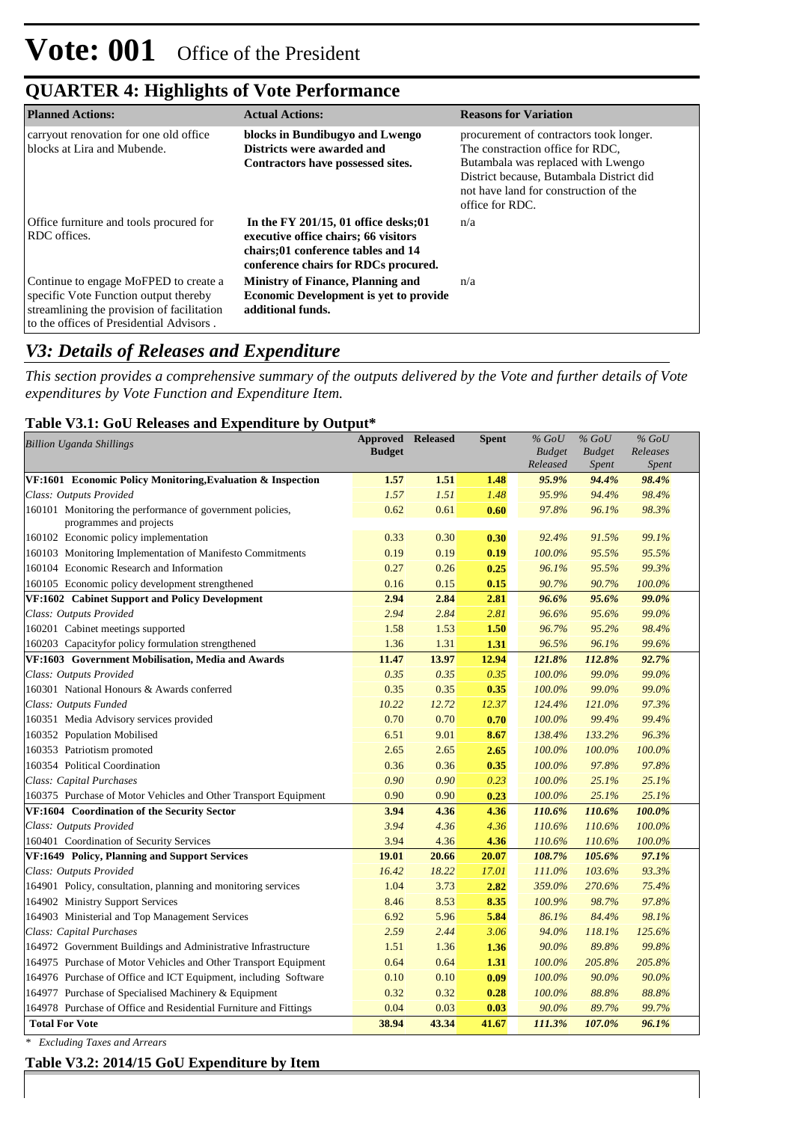| <b>Planned Actions:</b>                                                                                                                                                  | <b>Actual Actions:</b>                                                                                                                                      | <b>Reasons for Variation</b>                                                                                                                                                                                              |
|--------------------------------------------------------------------------------------------------------------------------------------------------------------------------|-------------------------------------------------------------------------------------------------------------------------------------------------------------|---------------------------------------------------------------------------------------------------------------------------------------------------------------------------------------------------------------------------|
| carryout renovation for one old office<br>blocks at Lira and Mubende.                                                                                                    | blocks in Bundibugyo and Lwengo<br>Districts were awarded and<br>Contractors have possessed sites.                                                          | procurement of contractors took longer.<br>The constraction office for RDC.<br>Butambala was replaced with Lwengo<br>District because, Butambala District did<br>not have land for construction of the<br>office for RDC. |
| Office furniture and tools procured for<br>RDC offices.                                                                                                                  | In the FY 201/15, 01 office desks; 01<br>executive office chairs; 66 visitors<br>chairs;01 conference tables and 14<br>conference chairs for RDCs procured. | n/a                                                                                                                                                                                                                       |
| Continue to engage MoFPED to create a<br>specific Vote Function output thereby<br>streamlining the provision of facilitation<br>to the offices of Presidential Advisors. | <b>Ministry of Finance, Planning and</b><br><b>Economic Development is yet to provide</b><br>additional funds.                                              | n/a                                                                                                                                                                                                                       |

### *V3: Details of Releases and Expenditure*

*This section provides a comprehensive summary of the outputs delivered by the Vote and further details of Vote expenditures by Vote Function and Expenditure Item.*

### **Table V3.1: GoU Releases and Expenditure by Output\***

| <b>Billion Uganda Shillings</b>                                  | <b>Approved Released</b> |       | <b>Spent</b> | $%$ GoU                   | $%$ GoU                       | $%$ GoU                  |
|------------------------------------------------------------------|--------------------------|-------|--------------|---------------------------|-------------------------------|--------------------------|
|                                                                  | <b>Budget</b>            |       |              | <b>Budget</b><br>Released | <b>Budget</b><br><b>Spent</b> | Releases<br><b>Spent</b> |
| VF:1601 Economic Policy Monitoring, Evaluation & Inspection      | 1.57                     | 1.51  | 1.48         | 95.9%                     | 94.4%                         | 98.4%                    |
| Class: Outputs Provided                                          | 1.57                     | 1.51  | 1.48         | 95.9%                     | 94.4%                         | 98.4%                    |
| 160101 Monitoring the performance of government policies,        | 0.62                     | 0.61  | 0.60         | 97.8%                     | 96.1%                         | 98.3%                    |
| programmes and projects                                          |                          |       |              |                           |                               |                          |
| 160102 Economic policy implementation                            | 0.33                     | 0.30  | 0.30         | 92.4%                     | 91.5%                         | 99.1%                    |
| 160103 Monitoring Implementation of Manifesto Commitments        | 0.19                     | 0.19  | 0.19         | 100.0%                    | 95.5%                         | 95.5%                    |
| 160104 Economic Research and Information                         | 0.27                     | 0.26  | 0.25         | 96.1%                     | 95.5%                         | 99.3%                    |
| 160105 Economic policy development strengthened                  | 0.16                     | 0.15  | 0.15         | 90.7%                     | 90.7%                         | 100.0%                   |
| VF:1602 Cabinet Support and Policy Development                   | 2.94                     | 2.84  | 2.81         | 96.6%                     | 95.6%                         | 99.0%                    |
| Class: Outputs Provided                                          | 2.94                     | 2.84  | 2.81         | 96.6%                     | 95.6%                         | 99.0%                    |
| 160201 Cabinet meetings supported                                | 1.58                     | 1.53  | 1.50         | 96.7%                     | 95.2%                         | 98.4%                    |
| 160203 Capacityfor policy formulation strengthened               | 1.36                     | 1.31  | 1.31         | 96.5%                     | 96.1%                         | 99.6%                    |
| VF:1603 Government Mobilisation, Media and Awards                | 11.47                    | 13.97 | 12.94        | 121.8%                    | 112.8%                        | 92.7%                    |
| Class: Outputs Provided                                          | 0.35                     | 0.35  | 0.35         | 100.0%                    | 99.0%                         | 99.0%                    |
| 160301 National Honours & Awards conferred                       | 0.35                     | 0.35  | 0.35         | 100.0%                    | 99.0%                         | 99.0%                    |
| Class: Outputs Funded                                            | 10.22                    | 12.72 | 12.37        | 124.4%                    | 121.0%                        | 97.3%                    |
| 160351 Media Advisory services provided                          | 0.70                     | 0.70  | 0.70         | 100.0%                    | 99.4%                         | 99.4%                    |
| 160352 Population Mobilised                                      | 6.51                     | 9.01  | 8.67         | 138.4%                    | 133.2%                        | 96.3%                    |
| 160353 Patriotism promoted                                       | 2.65                     | 2.65  | 2.65         | 100.0%                    | 100.0%                        | 100.0%                   |
| 160354 Political Coordination                                    | 0.36                     | 0.36  | 0.35         | 100.0%                    | 97.8%                         | 97.8%                    |
| Class: Capital Purchases                                         | 0.90                     | 0.90  | 0.23         | 100.0%                    | 25.1%                         | 25.1%                    |
| 160375 Purchase of Motor Vehicles and Other Transport Equipment  | 0.90                     | 0.90  | 0.23         | 100.0%                    | 25.1%                         | 25.1%                    |
| VF:1604 Coordination of the Security Sector                      | 3.94                     | 4.36  | 4.36         | 110.6%                    | 110.6%                        | 100.0%                   |
| Class: Outputs Provided                                          | 3.94                     | 4.36  | 4.36         | 110.6%                    | 110.6%                        | 100.0%                   |
| 160401 Coordination of Security Services                         | 3.94                     | 4.36  | 4.36         | 110.6%                    | 110.6%                        | 100.0%                   |
| VF:1649 Policy, Planning and Support Services                    | 19.01                    | 20.66 | 20.07        | 108.7%                    | 105.6%                        | 97.1%                    |
| Class: Outputs Provided                                          | 16.42                    | 18.22 | 17.01        | 111.0%                    | 103.6%                        | 93.3%                    |
| 164901 Policy, consultation, planning and monitoring services    | 1.04                     | 3.73  | 2.82         | 359.0%                    | 270.6%                        | 75.4%                    |
| 164902 Ministry Support Services                                 | 8.46                     | 8.53  | 8.35         | 100.9%                    | 98.7%                         | 97.8%                    |
| 164903 Ministerial and Top Management Services                   | 6.92                     | 5.96  | 5.84         | 86.1%                     | 84.4%                         | 98.1%                    |
| Class: Capital Purchases                                         | 2.59                     | 2.44  | 3.06         | 94.0%                     | 118.1%                        | 125.6%                   |
| 164972 Government Buildings and Administrative Infrastructure    | 1.51                     | 1.36  | 1.36         | 90.0%                     | 89.8%                         | 99.8%                    |
| 164975 Purchase of Motor Vehicles and Other Transport Equipment  | 0.64                     | 0.64  | 1.31         | 100.0%                    | 205.8%                        | 205.8%                   |
| 164976 Purchase of Office and ICT Equipment, including Software  | 0.10                     | 0.10  | 0.09         | 100.0%                    | 90.0%                         | 90.0%                    |
| 164977 Purchase of Specialised Machinery & Equipment             | 0.32                     | 0.32  | 0.28         | 100.0%                    | 88.8%                         | 88.8%                    |
| 164978 Purchase of Office and Residential Furniture and Fittings | 0.04                     | 0.03  | 0.03         | 90.0%                     | 89.7%                         | 99.7%                    |
| <b>Total For Vote</b>                                            | 38.94                    | 43.34 | 41.67        | 111.3%                    | 107.0%                        | 96.1%                    |

*\* Excluding Taxes and Arrears*

**Table V3.2: 2014/15 GoU Expenditure by Item**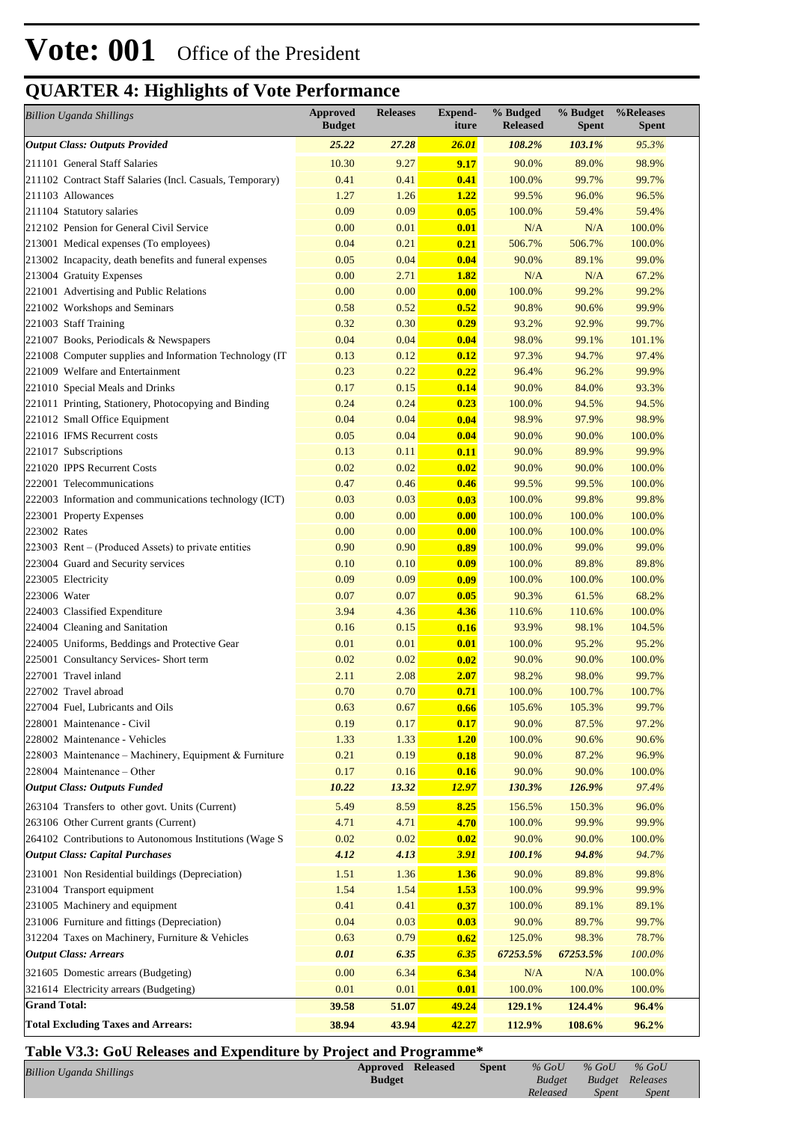| <b>Billion Uganda Shillings</b>                           | <b>Approved</b><br><b>Budget</b> | <b>Releases</b> | <b>Expend-</b><br>iture | % Budged<br><b>Released</b> | % Budget<br><b>Spent</b> | %Releases<br><b>Spent</b> |
|-----------------------------------------------------------|----------------------------------|-----------------|-------------------------|-----------------------------|--------------------------|---------------------------|
| <b>Output Class: Outputs Provided</b>                     | 25.22                            | 27.28           | <b>26.01</b>            | 108.2%                      | 103.1%                   | 95.3%                     |
| 211101 General Staff Salaries                             | 10.30                            | 9.27            | 9.17                    | 90.0%                       | 89.0%                    | 98.9%                     |
| 211102 Contract Staff Salaries (Incl. Casuals, Temporary) | 0.41                             | 0.41            | 0.41                    | 100.0%                      | 99.7%                    | 99.7%                     |
| 211103 Allowances                                         | 1.27                             | 1.26            | 1.22                    | 99.5%                       | 96.0%                    | 96.5%                     |
| 211104 Statutory salaries                                 | 0.09                             | 0.09            | 0.05                    | 100.0%                      | 59.4%                    | 59.4%                     |
| 212102 Pension for General Civil Service                  | 0.00                             | 0.01            | 0.01                    | N/A                         | N/A                      | 100.0%                    |
| 213001 Medical expenses (To employees)                    | 0.04                             | 0.21            | 0.21                    | 506.7%                      | 506.7%                   | 100.0%                    |
| 213002 Incapacity, death benefits and funeral expenses    | 0.05                             | 0.04            | 0.04                    | 90.0%                       | 89.1%                    | 99.0%                     |
| 213004 Gratuity Expenses                                  | 0.00                             | 2.71            | 1.82                    | N/A                         | N/A                      | 67.2%                     |
| 221001 Advertising and Public Relations                   | 0.00                             | 0.00            | 0.00                    | 100.0%                      | 99.2%                    | 99.2%                     |
| 221002 Workshops and Seminars                             | 0.58                             | 0.52            | 0.52                    | 90.8%                       | 90.6%                    | 99.9%                     |
| 221003 Staff Training                                     | 0.32                             | 0.30            | 0.29                    | 93.2%                       | 92.9%                    | 99.7%                     |
| 221007 Books, Periodicals & Newspapers                    | 0.04                             | 0.04            | 0.04                    | 98.0%                       | 99.1%                    | 101.1%                    |
| 221008 Computer supplies and Information Technology (IT   | 0.13                             | 0.12            | 0.12                    | 97.3%                       | 94.7%                    | 97.4%                     |
| 221009 Welfare and Entertainment                          | 0.23                             | 0.22            | 0.22                    | 96.4%                       | 96.2%                    | 99.9%                     |
| 221010 Special Meals and Drinks                           | 0.17                             | 0.15            | 0.14                    | 90.0%                       | 84.0%                    | 93.3%                     |
| 221011 Printing, Stationery, Photocopying and Binding     | 0.24                             | 0.24            | 0.23                    | 100.0%                      | 94.5%                    | 94.5%                     |
| 221012 Small Office Equipment                             | 0.04                             | 0.04            | 0.04                    | 98.9%                       | 97.9%                    | 98.9%                     |
| 221016 IFMS Recurrent costs                               | 0.05                             | 0.04            | 0.04                    | 90.0%                       | 90.0%                    | 100.0%                    |
| 221017 Subscriptions                                      | 0.13                             | 0.11            | 0.11                    | 90.0%                       | 89.9%                    | 99.9%                     |
| 221020 IPPS Recurrent Costs                               | 0.02                             | 0.02            | 0.02                    | 90.0%                       | 90.0%                    | 100.0%                    |
| 222001 Telecommunications                                 | 0.47                             | 0.46            | 0.46                    | 99.5%                       | 99.5%                    | 100.0%                    |
| 222003 Information and communications technology (ICT)    | 0.03                             | 0.03            | 0.03                    | 100.0%                      | 99.8%                    | 99.8%                     |
| 223001 Property Expenses                                  | 0.00                             | 0.00            | 0.00                    | 100.0%                      | 100.0%                   | 100.0%                    |
| 223002 Rates                                              | 0.00                             | 0.00            | 0.00                    | 100.0%                      | 100.0%                   | 100.0%                    |
| 223003 Rent – (Produced Assets) to private entities       | 0.90                             | 0.90            | 0.89                    | 100.0%                      | 99.0%                    | 99.0%                     |
| 223004 Guard and Security services                        | 0.10                             | 0.10            | 0.09                    | 100.0%                      | 89.8%                    | 89.8%                     |
| 223005 Electricity                                        | 0.09                             | 0.09            | 0.09                    | 100.0%                      | 100.0%                   | 100.0%                    |
| 223006 Water                                              | 0.07                             | 0.07            | 0.05                    | 90.3%                       | 61.5%                    | 68.2%                     |
| 224003 Classified Expenditure                             | 3.94                             | 4.36            | 4.36                    | 110.6%                      | 110.6%                   | 100.0%                    |
| 224004 Cleaning and Sanitation                            | 0.16                             | 0.15            | 0.16                    | 93.9%                       | 98.1%                    | 104.5%                    |
| 224005 Uniforms, Beddings and Protective Gear             | 0.01                             | 0.01            | 0.01                    | 100.0%                      | 95.2%                    | 95.2%                     |
| 225001 Consultancy Services- Short term                   | 0.02                             | 0.02            | 0.02                    | 90.0%                       | 90.0%                    | 100.0%                    |
| 227001 Travel inland                                      | 2.11                             | 2.08            | <b>2.07</b>             | 98.2%                       | 98.0%                    | 99.7%                     |
| 227002 Travel abroad                                      | 0.70                             | 0.70            | 0.71                    | 100.0%                      | 100.7%                   | 100.7%                    |
| 227004 Fuel, Lubricants and Oils                          | 0.63                             | 0.67            | 0.66                    | 105.6%                      | 105.3%                   | 99.7%                     |
| 228001 Maintenance - Civil                                | 0.19                             | 0.17            | 0.17                    | 90.0%                       | 87.5%                    | 97.2%                     |
| 228002 Maintenance - Vehicles                             | 1.33                             | 1.33            | 1.20                    | 100.0%                      | 90.6%                    | 90.6%                     |
| 228003 Maintenance – Machinery, Equipment & Furniture     | 0.21                             | 0.19            | 0.18                    | 90.0%                       | 87.2%                    | 96.9%                     |
| 228004 Maintenance - Other                                | 0.17                             | 0.16            | 0.16                    | 90.0%                       | 90.0%                    | 100.0%                    |
| <b>Output Class: Outputs Funded</b>                       | 10.22                            | 13.32           | <u>12.97</u>            | 130.3%                      | 126.9%                   | 97.4%                     |
| 263104 Transfers to other govt. Units (Current)           | 5.49                             | 8.59            | 8.25                    | 156.5%                      | 150.3%                   | 96.0%                     |
| 263106 Other Current grants (Current)                     | 4.71                             | 4.71            | 4.70                    | 100.0%                      | 99.9%                    | 99.9%                     |
| 264102 Contributions to Autonomous Institutions (Wage S   | 0.02                             | 0.02            | 0.02                    | 90.0%                       | 90.0%                    | 100.0%                    |
| <b>Output Class: Capital Purchases</b>                    | 4.12                             | 4.13            | <b>3.91</b>             | 100.1%                      | 94.8%                    | 94.7%                     |
| 231001 Non Residential buildings (Depreciation)           | 1.51                             | 1.36            | 1.36                    | 90.0%                       | 89.8%                    | 99.8%                     |
| 231004 Transport equipment                                | 1.54                             | 1.54            | <b>1.53</b>             | 100.0%                      | 99.9%                    | 99.9%                     |
| 231005 Machinery and equipment                            | 0.41                             | 0.41            | 0.37                    | 100.0%                      | 89.1%                    | 89.1%                     |
| 231006 Furniture and fittings (Depreciation)              | 0.04                             | 0.03            | 0.03                    | 90.0%                       | 89.7%                    | 99.7%                     |
| 312204 Taxes on Machinery, Furniture & Vehicles           | 0.63                             | 0.79            | 0.62                    | 125.0%                      | 98.3%                    | 78.7%                     |
| <b>Output Class: Arrears</b>                              | 0.01                             | 6.35            | 6.35                    | 67253.5%                    | 67253.5%                 | 100.0%                    |
| 321605 Domestic arrears (Budgeting)                       | 0.00                             | 6.34            | 6.34                    | N/A                         | N/A                      | 100.0%                    |
| 321614 Electricity arrears (Budgeting)                    | 0.01                             | 0.01            | 0.01                    | 100.0%                      | 100.0%                   | 100.0%                    |
| <b>Grand Total:</b>                                       | 39.58                            | 51.07           | <u>49.24</u>            | 129.1%                      | 124.4%                   | 96.4%                     |
|                                                           |                                  |                 |                         |                             |                          |                           |
| <b>Total Excluding Taxes and Arrears:</b>                 | 38.94                            | 43.94           | 42.27                   | 112.9%                      | 108.6%                   | 96.2%                     |

### **Table V3.3: GoU Releases and Expenditure by Project and Programme\***

| <b>Billion Uganda Shillings</b> | <b>Approved Released</b> | <b>Spent</b> | $%$ GoU       | $%$ GoU | $%$ GoU                |  |
|---------------------------------|--------------------------|--------------|---------------|---------|------------------------|--|
|                                 | <b>Budget</b>            |              | <b>Budget</b> |         | <b>Budget</b> Releases |  |
|                                 |                          |              | Released      | Spent   | <i>Spent</i>           |  |
|                                 |                          |              |               |         |                        |  |